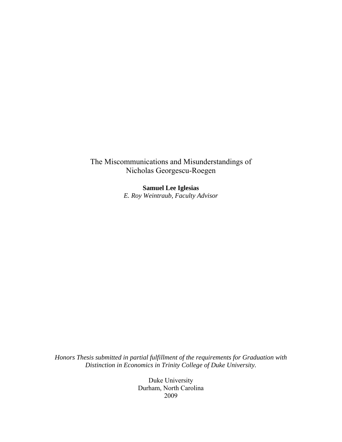The Miscommunications and Misunderstandings of Nicholas Georgescu-Roegen

> **Samuel Lee Iglesias**  *E. Roy Weintraub, Faculty Advisor*

*Honors Thesis submitted in partial fulfillment of the requirements for Graduation with Distinction in Economics in Trinity College of Duke University.* 

> Duke University Durham, North Carolina 2009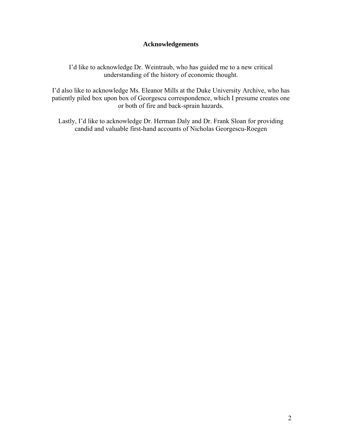# **Acknowledgements**

I'd like to acknowledge Dr. Weintraub, who has guided me to a new critical understanding of the history of economic thought.

I'd also like to acknowledge Ms. Eleanor Mills at the Duke University Archive, who has patiently piled box upon box of Georgescu correspondence, which I presume creates one or both of fire and back-sprain hazards.

Lastly, I'd like to acknowledge Dr. Herman Daly and Dr. Frank Sloan for providing candid and valuable first-hand accounts of Nicholas Georgescu-Roegen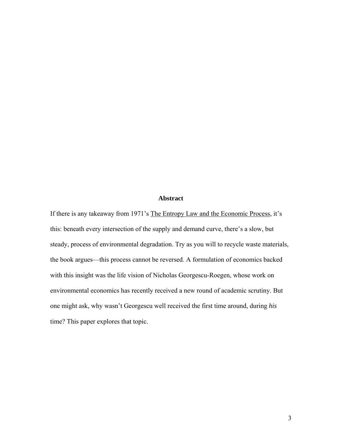## **Abstract**

If there is any takeaway from 1971's The Entropy Law and the Economic Process, it's this: beneath every intersection of the supply and demand curve, there's a slow, but steady, process of environmental degradation. Try as you will to recycle waste materials, the book argues—this process cannot be reversed. A formulation of economics backed with this insight was the life vision of Nicholas Georgescu-Roegen, whose work on environmental economics has recently received a new round of academic scrutiny. But one might ask, why wasn't Georgescu well received the first time around, during *his*  time? This paper explores that topic.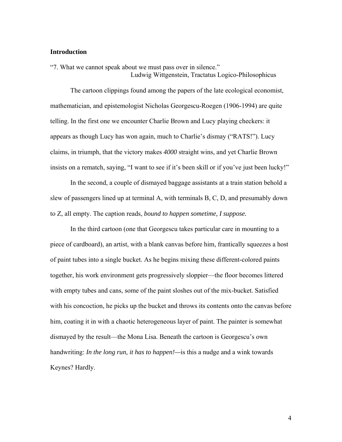### **Introduction**

"7. What we cannot speak about we must pass over in silence." Ludwig Wittgenstein, Tractatus Logico-Philosophicus

The cartoon clippings found among the papers of the late ecological economist, mathematician, and epistemologist Nicholas Georgescu-Roegen (1906-1994) are quite telling. In the first one we encounter Charlie Brown and Lucy playing checkers: it appears as though Lucy has won again, much to Charlie's dismay ("RATS!"). Lucy claims, in triumph, that the victory makes *4000* straight wins, and yet Charlie Brown insists on a rematch, saying, "I want to see if it's been skill or if you've just been lucky!"

In the second, a couple of dismayed baggage assistants at a train station behold a slew of passengers lined up at terminal A, with terminals B, C, D, and presumably down to Z, all empty. The caption reads, *bound to happen sometime, I suppose.* 

 In the third cartoon (one that Georgescu takes particular care in mounting to a piece of cardboard), an artist, with a blank canvas before him, frantically squeezes a host of paint tubes into a single bucket. As he begins mixing these different-colored paints together, his work environment gets progressively sloppier—the floor becomes littered with empty tubes and cans, some of the paint sloshes out of the mix-bucket. Satisfied with his concoction, he picks up the bucket and throws its contents onto the canvas before him, coating it in with a chaotic heterogeneous layer of paint. The painter is somewhat dismayed by the result—the Mona Lisa. Beneath the cartoon is Georgescu's own handwriting: *In the long run, it has to happen!—*is this a nudge and a wink towards Keynes? Hardly.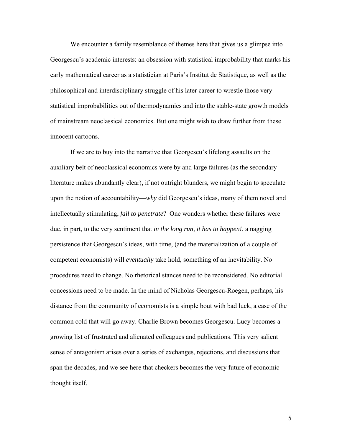We encounter a family resemblance of themes here that gives us a glimpse into Georgescu's academic interests: an obsession with statistical improbability that marks his early mathematical career as a statistician at Paris's Institut de Statistique, as well as the philosophical and interdisciplinary struggle of his later career to wrestle those very statistical improbabilities out of thermodynamics and into the stable-state growth models of mainstream neoclassical economics. But one might wish to draw further from these innocent cartoons.

If we are to buy into the narrative that Georgescu's lifelong assaults on the auxiliary belt of neoclassical economics were by and large failures (as the secondary literature makes abundantly clear), if not outright blunders, we might begin to speculate upon the notion of accountability—*why* did Georgescu's ideas, many of them novel and intellectually stimulating, *fail to penetrate*? One wonders whether these failures were due, in part, to the very sentiment that *in the long run, it has to happen!*, a nagging persistence that Georgescu's ideas, with time, (and the materialization of a couple of competent economists) will *eventually* take hold, something of an inevitability. No procedures need to change. No rhetorical stances need to be reconsidered. No editorial concessions need to be made. In the mind of Nicholas Georgescu-Roegen, perhaps, his distance from the community of economists is a simple bout with bad luck, a case of the common cold that will go away. Charlie Brown becomes Georgescu. Lucy becomes a growing list of frustrated and alienated colleagues and publications. This very salient sense of antagonism arises over a series of exchanges, rejections, and discussions that span the decades, and we see here that checkers becomes the very future of economic thought itself.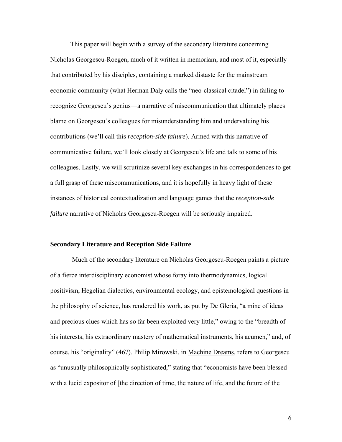This paper will begin with a survey of the secondary literature concerning Nicholas Georgescu-Roegen, much of it written in memoriam, and most of it, especially that contributed by his disciples, containing a marked distaste for the mainstream economic community (what Herman Daly calls the "neo-classical citadel") in failing to recognize Georgescu's genius—a narrative of miscommunication that ultimately places blame on Georgescu's colleagues for misunderstanding him and undervaluing his contributions (we'll call this *reception-side failure*). Armed with this narrative of communicative failure, we'll look closely at Georgescu's life and talk to some of his colleagues. Lastly, we will scrutinize several key exchanges in his correspondences to get a full grasp of these miscommunications, and it is hopefully in heavy light of these instances of historical contextualization and language games that the *reception-side failure* narrative of Nicholas Georgescu-Roegen will be seriously impaired.

#### **Secondary Literature and Reception Side Failure**

 Much of the secondary literature on Nicholas Georgescu-Roegen paints a picture of a fierce interdisciplinary economist whose foray into thermodynamics, logical positivism, Hegelian dialectics, environmental ecology, and epistemological questions in the philosophy of science, has rendered his work, as put by De Gleria, "a mine of ideas and precious clues which has so far been exploited very little," owing to the "breadth of his interests, his extraordinary mastery of mathematical instruments, his acumen," and, of course, his "originality" (467). Philip Mirowski, in Machine Dreams, refers to Georgescu as "unusually philosophically sophisticated," stating that "economists have been blessed with a lucid expositor of [the direction of time, the nature of life, and the future of the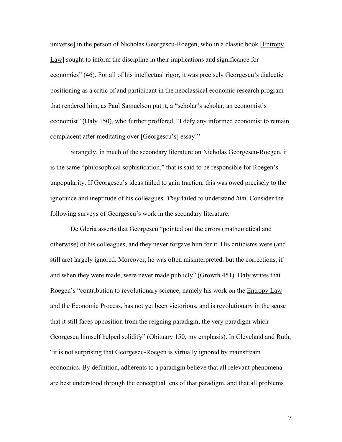universe] in the person of Nicholas Georgescu-Roegen, who in a classic book [Entropy Law] sought to inform the discipline in their implications and significance for economics" (46). For all of his intellectual rigor, it was precisely Georgescu's dialectic positioning as a critic of and participant in the neoclassical economic research program that rendered him, as Paul Samuelson put it, a "scholar's scholar, an economist's economist" (Daly 150), who further proffered, "I defy any informed economist to remain complacent after meditating over [Georgescu's] essay!"

 Strangely, in much of the secondary literature on Nicholas Georgescu-Roegen, it is the same "philosophical sophistication," that is said to be responsible for Roegen's unpopularity. If Georgescu's ideas failed to gain traction, this was owed precisely to the ignorance and ineptitude of his colleagues. *They* failed to understand *him*. Consider the following surveys of Georgescu's work in the secondary literature:

De Gleria asserts that Georgescu "pointed out the errors (mathematical and otherwise) of his colleagues, and they never forgave him for it. His criticisms were (and still are) largely ignored. Moreover, he was often misinterpreted, but the corrections, if and when they were made, were never made publicly" (Growth 451). Daly writes that Roegen's "contribution to revolutionary science, namely his work on the Entropy Law and the Economic Process, has not yet been victorious, and is revolutionary in the sense that it still faces opposition from the reigning paradigm, the very paradigm which Georgescu himself helped solidify" (Obituary 150, my emphasis). In Cleveland and Ruth, "it is not surprising that Georgescu-Roegen is virtually ignored by mainstream economics. By definition, adherents to a paradigm believe that all relevant phenomena are best understood through the conceptual lens of that paradigm, and that all problems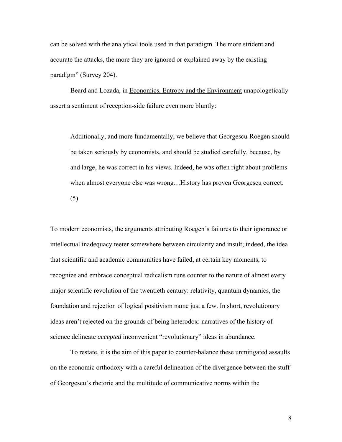can be solved with the analytical tools used in that paradigm. The more strident and accurate the attacks, the more they are ignored or explained away by the existing paradigm" (Survey 204).

Beard and Lozada, in Economics, Entropy and the Environment unapologetically assert a sentiment of reception-side failure even more bluntly:

Additionally, and more fundamentally, we believe that Georgescu-Roegen should be taken seriously by economists, and should be studied carefully, because, by and large, he was correct in his views. Indeed, he was often right about problems when almost everyone else was wrong...History has proven Georgescu correct. (5)

To modern economists, the arguments attributing Roegen's failures to their ignorance or intellectual inadequacy teeter somewhere between circularity and insult; indeed, the idea that scientific and academic communities have failed, at certain key moments, to recognize and embrace conceptual radicalism runs counter to the nature of almost every major scientific revolution of the twentieth century: relativity, quantum dynamics, the foundation and rejection of logical positivism name just a few. In short, revolutionary ideas aren't rejected on the grounds of being heterodox: narratives of the history of science delineate *accepted* inconvenient "revolutionary" ideas in abundance.

To restate, it is the aim of this paper to counter-balance these unmitigated assaults on the economic orthodoxy with a careful delineation of the divergence between the stuff of Georgescu's rhetoric and the multitude of communicative norms within the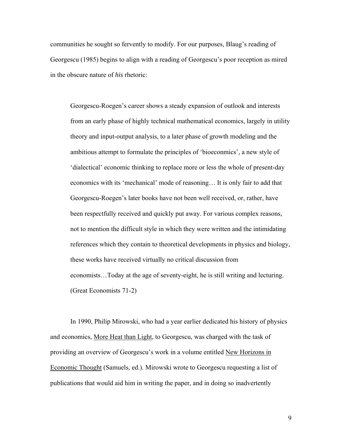communities he sought so fervently to modify. For our purposes, Blaug's reading of Georgescu (1985) begins to align with a reading of Georgescu's poor reception as mired in the obscure nature of *his* rhetoric:

Georgescu-Roegen's career shows a steady expansion of outlook and interests from an early phase of highly technical mathematical economics, largely in utility theory and input-output analysis, to a later phase of growth modeling and the ambitious attempt to formulate the principles of 'bioeconmics', a new style of 'dialectical' economic thinking to replace more or less the whole of present-day economics with its 'mechanical' mode of reasoning… It is only fair to add that Georgescu-Roegen's later books have not been well received, or, rather, have been respectfully received and quickly put away. For various complex reasons, not to mention the difficult style in which they were written and the intimidating references which they contain to theoretical developments in physics and biology, these works have received virtually no critical discussion from economists…Today at the age of seventy-eight, he is still writing and lecturing. (Great Economists 71-2)

 In 1990, Philip Mirowski, who had a year earlier dedicated his history of physics and economics, More Heat than Light, to Georgescu, was charged with the task of providing an overview of Georgescu's work in a volume entitled New Horizons in Economic Thought (Samuels, ed.). Mirowski wrote to Georgescu requesting a list of publications that would aid him in writing the paper, and in doing so inadvertently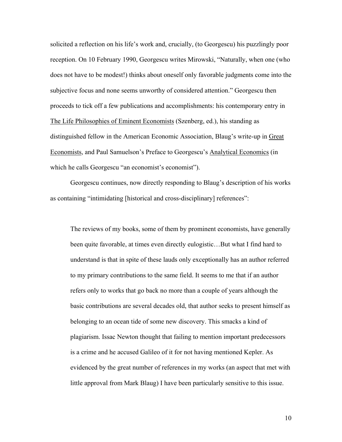solicited a reflection on his life's work and, crucially, (to Georgescu) his puzzlingly poor reception. On 10 February 1990, Georgescu writes Mirowski, "Naturally, when one (who does not have to be modest!) thinks about oneself only favorable judgments come into the subjective focus and none seems unworthy of considered attention." Georgescu then proceeds to tick off a few publications and accomplishments: his contemporary entry in The Life Philosophies of Eminent Economists (Szenberg, ed.), his standing as distinguished fellow in the American Economic Association, Blaug's write-up in Great Economists, and Paul Samuelson's Preface to Georgescu's Analytical Economics (in which he calls Georgescu "an economist's economist").

 Georgescu continues, now directly responding to Blaug's description of his works as containing "intimidating [historical and cross-disciplinary] references":

The reviews of my books, some of them by prominent economists, have generally been quite favorable, at times even directly eulogistic…But what I find hard to understand is that in spite of these lauds only exceptionally has an author referred to my primary contributions to the same field. It seems to me that if an author refers only to works that go back no more than a couple of years although the basic contributions are several decades old, that author seeks to present himself as belonging to an ocean tide of some new discovery. This smacks a kind of plagiarism. Issac Newton thought that failing to mention important predecessors is a crime and he accused Galileo of it for not having mentioned Kepler. As evidenced by the great number of references in my works (an aspect that met with little approval from Mark Blaug) I have been particularly sensitive to this issue.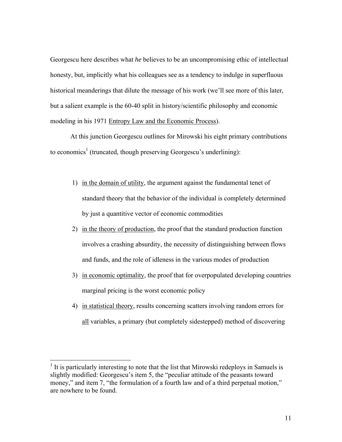Georgescu here describes what *he* believes to be an uncompromising ethic of intellectual honesty, but, implicitly what his colleagues see as a tendency to indulge in superfluous historical meanderings that dilute the message of his work (we'll see more of this later, but a salient example is the 60-40 split in history/scientific philosophy and economic modeling in his 1971 Entropy Law and the Economic Process).

 At this junction Georgescu outlines for Mirowski his eight primary contributions to economics<sup>1</sup> (truncated, though preserving Georgescu's underlining):

- 1) in the domain of utility, the argument against the fundamental tenet of standard theory that the behavior of the individual is completely determined by just a quantitive vector of economic commodities
- 2) in the theory of production, the proof that the standard production function involves a crashing absurdity, the necessity of distinguishing between flows and funds, and the role of idleness in the various modes of production
- 3) in economic optimality, the proof that for overpopulated developing countries marginal pricing is the worst economic policy
- 4) in statistical theory, results concerning scatters involving random errors for all variables, a primary (but completely sidestepped) method of discovering

 $<sup>1</sup>$  It is particularly interesting to note that the list that Mirowski redeploys in Samuels is</sup> slightly modified: Georgescu's item 5, the "peculiar attitude of the peasants toward money," and item 7, "the formulation of a fourth law and of a third perpetual motion," are nowhere to be found.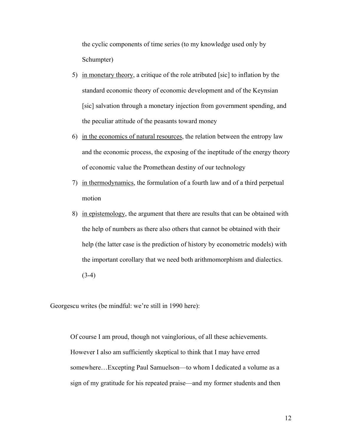the cyclic components of time series (to my knowledge used only by Schumpter)

- 5) in monetary theory, a critique of the role atributed [sic] to inflation by the standard economic theory of economic development and of the Keynsian [sic] salvation through a monetary injection from government spending, and the peculiar attitude of the peasants toward money
- 6) in the economics of natural resources, the relation between the entropy law and the economic process, the exposing of the ineptitude of the energy theory of economic value the Promethean destiny of our technology
- 7) in thermodynamics, the formulation of a fourth law and of a third perpetual motion
- 8) in epistemology, the argument that there are results that can be obtained with the help of numbers as there also others that cannot be obtained with their help (the latter case is the prediction of history by econometric models) with the important corollary that we need both arithmomorphism and dialectics.  $(3-4)$

Georgescu writes (be mindful: we're still in 1990 here):

Of course I am proud, though not vainglorious, of all these achievements. However I also am sufficiently skeptical to think that I may have erred somewhere…Excepting Paul Samuelson—to whom I dedicated a volume as a sign of my gratitude for his repeated praise—and my former students and then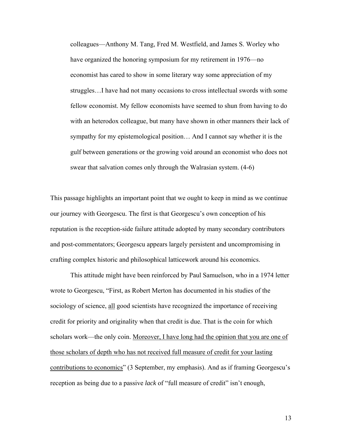colleagues—Anthony M. Tang, Fred M. Westfield, and James S. Worley who have organized the honoring symposium for my retirement in 1976—no economist has cared to show in some literary way some appreciation of my struggles…I have had not many occasions to cross intellectual swords with some fellow economist. My fellow economists have seemed to shun from having to do with an heterodox colleague, but many have shown in other manners their lack of sympathy for my epistemological position… And I cannot say whether it is the gulf between generations or the growing void around an economist who does not swear that salvation comes only through the Walrasian system. (4-6)

This passage highlights an important point that we ought to keep in mind as we continue our journey with Georgescu. The first is that Georgescu's own conception of his reputation is the reception-side failure attitude adopted by many secondary contributors and post-commentators; Georgescu appears largely persistent and uncompromising in crafting complex historic and philosophical latticework around his economics.

This attitude might have been reinforced by Paul Samuelson, who in a 1974 letter wrote to Georgescu, "First, as Robert Merton has documented in his studies of the sociology of science, all good scientists have recognized the importance of receiving credit for priority and originality when that credit is due. That is the coin for which scholars work—the only coin. Moreover, I have long had the opinion that you are one of those scholars of depth who has not received full measure of credit for your lasting contributions to economics" (3 September, my emphasis). And as if framing Georgescu's reception as being due to a passive *lack* of "full measure of credit" isn't enough,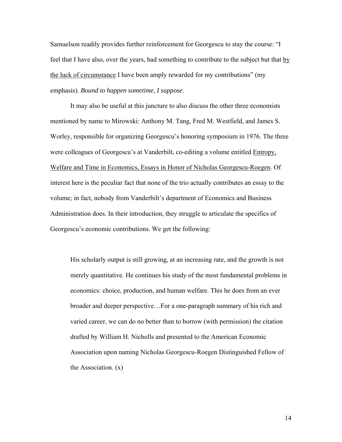Samuelson readily provides further reinforcement for Georgescu to stay the course: "I feel that I have also, over the years, had something to contribute to the subject but that by the luck of circumstance I have been amply rewarded for my contributions" (my emphasis). *Bound to happen sometime, I suppose*.

It may also be useful at this juncture to also discuss the other three economists mentioned by name to Mirowski: Anthony M. Tang, Fred M. Westfield, and James S. Worley, responsible for organizing Georgescu's honoring symposium in 1976. The three were colleagues of Georgescu's at Vanderbilt, co-editing a volume entitled Entropy, Welfare and Time in Economics, Essays in Honor of Nicholas Georgescu-Roegen. Of interest here is the peculiar fact that none of the trio actually contributes an essay to the volume; in fact, nobody from Vanderbilt's department of Economics and Business Administration does. In their introduction, they struggle to articulate the specifics of Georgescu's economic contributions. We get the following:

His scholarly output is still growing, at an increasing rate, and the growth is not merely quantitative. He continues his study of the most fundamental problems in economics: choice, production, and human welfare. This he does from an ever broader and deeper perspective…For a one-paragraph summary of his rich and varied career, we can do no better than to borrow (with permission) the citation drafted by William H. Nicholls and presented to the American Economic Association upon naming Nicholas Georgescu-Roegen Distinguished Fellow of the Association. (x)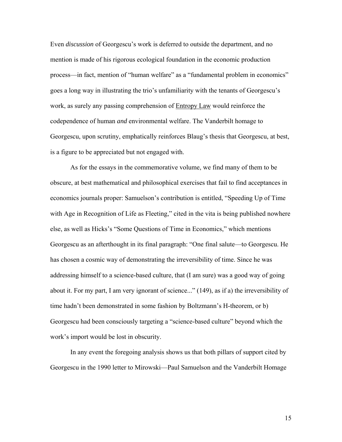Even *discussion* of Georgescu's work is deferred to outside the department, and no mention is made of his rigorous ecological foundation in the economic production process—in fact, mention of "human welfare" as a "fundamental problem in economics" goes a long way in illustrating the trio's unfamiliarity with the tenants of Georgescu's work, as surely any passing comprehension of Entropy Law would reinforce the codependence of human *and* environmental welfare. The Vanderbilt homage to Georgescu, upon scrutiny, emphatically reinforces Blaug's thesis that Georgescu, at best, is a figure to be appreciated but not engaged with.

As for the essays in the commemorative volume, we find many of them to be obscure, at best mathematical and philosophical exercises that fail to find acceptances in economics journals proper: Samuelson's contribution is entitled, "Speeding Up of Time with Age in Recognition of Life as Fleeting," cited in the vita is being published nowhere else, as well as Hicks's "Some Questions of Time in Economics," which mentions Georgescu as an afterthought in its final paragraph: "One final salute—to Georgescu. He has chosen a cosmic way of demonstrating the irreversibility of time. Since he was addressing himself to a science-based culture, that (I am sure) was a good way of going about it. For my part, I am very ignorant of science..." (149), as if a) the irreversibility of time hadn't been demonstrated in some fashion by Boltzmann's H-theorem, or b) Georgescu had been consciously targeting a "science-based culture" beyond which the work's import would be lost in obscurity.

In any event the foregoing analysis shows us that both pillars of support cited by Georgescu in the 1990 letter to Mirowski—Paul Samuelson and the Vanderbilt Homage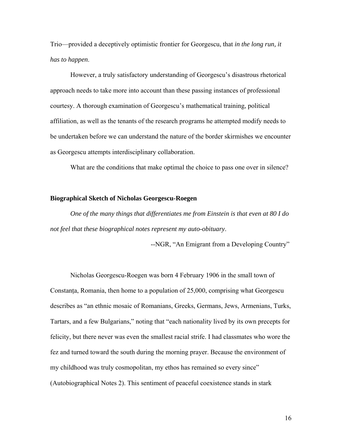Trio—provided a deceptively optimistic frontier for Georgescu, that *in the long run, it has to happen*.

However, a truly satisfactory understanding of Georgescu's disastrous rhetorical approach needs to take more into account than these passing instances of professional courtesy. A thorough examination of Georgescu's mathematical training, political affiliation, as well as the tenants of the research programs he attempted modify needs to be undertaken before we can understand the nature of the border skirmishes we encounter as Georgescu attempts interdisciplinary collaboration.

What are the conditions that make optimal the choice to pass one over in silence?

#### **Biographical Sketch of Nicholas Georgescu-Roegen**

*One of the many things that differentiates me from Einstein is that even at 80 I do not feel that these biographical notes represent my auto-obituary*.

--NGR, "An Emigrant from a Developing Country"

Nicholas Georgescu-Roegen was born 4 February 1906 in the small town of Constanta, Romania, then home to a population of 25,000, comprising what Georgescu describes as "an ethnic mosaic of Romanians, Greeks, Germans, Jews, Armenians, Turks, Tartars, and a few Bulgarians," noting that "each nationality lived by its own precepts for felicity, but there never was even the smallest racial strife. I had classmates who wore the fez and turned toward the south during the morning prayer. Because the environment of my childhood was truly cosmopolitan, my ethos has remained so every since" (Autobiographical Notes 2). This sentiment of peaceful coexistence stands in stark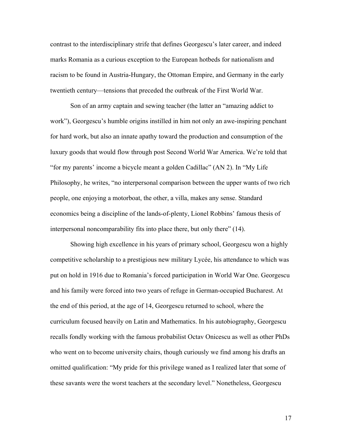contrast to the interdisciplinary strife that defines Georgescu's later career, and indeed marks Romania as a curious exception to the European hotbeds for nationalism and racism to be found in Austria-Hungary, the Ottoman Empire, and Germany in the early twentieth century—tensions that preceded the outbreak of the First World War.

 Son of an army captain and sewing teacher (the latter an "amazing addict to work"), Georgescu's humble origins instilled in him not only an awe-inspiring penchant for hard work, but also an innate apathy toward the production and consumption of the luxury goods that would flow through post Second World War America. We're told that "for my parents' income a bicycle meant a golden Cadillac" (AN 2). In "My Life Philosophy, he writes, "no interpersonal comparison between the upper wants of two rich people, one enjoying a motorboat, the other, a villa, makes any sense. Standard economics being a discipline of the lands-of-plenty, Lionel Robbins' famous thesis of interpersonal noncomparability fits into place there, but only there" (14).

 Showing high excellence in his years of primary school, Georgescu won a highly competitive scholarship to a prestigious new military Lycée, his attendance to which was put on hold in 1916 due to Romania's forced participation in World War One. Georgescu and his family were forced into two years of refuge in German-occupied Bucharest. At the end of this period, at the age of 14, Georgescu returned to school, where the curriculum focused heavily on Latin and Mathematics. In his autobiography, Georgescu recalls fondly working with the famous probabilist Octav Onicescu as well as other PhDs who went on to become university chairs, though curiously we find among his drafts an omitted qualification: "My pride for this privilege waned as I realized later that some of these savants were the worst teachers at the secondary level." Nonetheless, Georgescu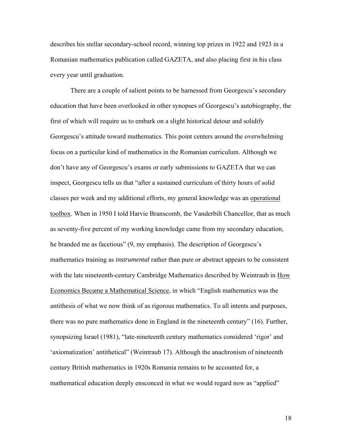describes his stellar secondary-school record, winning top prizes in 1922 and 1923 in a Romanian mathematics publication called GAZETA, and also placing first in his class every year until graduation.

 There are a couple of salient points to be harnessed from Georgescu's secondary education that have been overlooked in other synopses of Georgescu's autobiography, the first of which will require us to embark on a slight historical detour and solidify Georgescu's attitude toward mathematics. This point centers around the overwhelming focus on a particular kind of mathematics in the Romanian curriculum. Although we don't have any of Georgescu's exams or early submissions to GAZETA that we can inspect, Georgescu tells us that "after a sustained curriculum of thirty hours of solid classes per week and my additional efforts, my general knowledge was an operational toolbox. When in 1950 I told Harvie Branscomb, the Vanderbilt Chancellor, that as much as seventy-five percent of my working knowledge came from my secondary education, he branded me as facetious" (9, my emphasis). The description of Georgescu's mathematics training as *instrumental* rather than pure or abstract appears to be consistent with the late nineteenth-century Cambridge Mathematics described by Weintraub in How Economics Became a Mathematical Science, in which "English mathematics was the antithesis of what we now think of as rigorous mathematics. To all intents and purposes, there was no pure mathematics done in England in the nineteenth century" (16). Further, synopsizing Israel (1981), "late-nineteenth century mathematics considered 'rigor' and 'axiomatization' antithetical" (Weintraub 17). Although the anachronism of nineteenth century British mathematics in 1920s Romania remains to be accounted for, a mathematical education deeply ensconced in what we would regard now as "applied"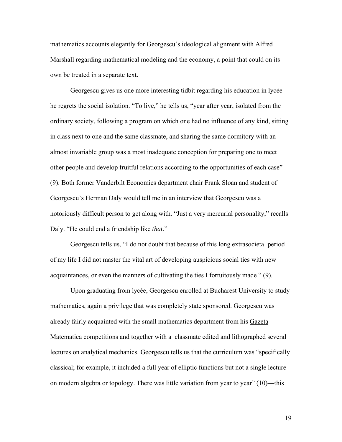mathematics accounts elegantly for Georgescu's ideological alignment with Alfred Marshall regarding mathematical modeling and the economy, a point that could on its own be treated in a separate text.

 Georgescu gives us one more interesting tidbit regarding his education in lycée he regrets the social isolation. "To live," he tells us, "year after year, isolated from the ordinary society, following a program on which one had no influence of any kind, sitting in class next to one and the same classmate, and sharing the same dormitory with an almost invariable group was a most inadequate conception for preparing one to meet other people and develop fruitful relations according to the opportunities of each case" (9). Both former Vanderbilt Economics department chair Frank Sloan and student of Georgescu's Herman Daly would tell me in an interview that Georgescu was a notoriously difficult person to get along with. "Just a very mercurial personality," recalls Daly. "He could end a friendship like *that*."

Georgescu tells us, "I do not doubt that because of this long extrasocietal period of my life I did not master the vital art of developing auspicious social ties with new acquaintances, or even the manners of cultivating the ties I fortuitously made " (9).

 Upon graduating from lycée, Georgescu enrolled at Bucharest University to study mathematics, again a privilege that was completely state sponsored. Georgescu was already fairly acquainted with the small mathematics department from his Gazeta Matematica competitions and together with a classmate edited and lithographed several lectures on analytical mechanics. Georgescu tells us that the curriculum was "specifically classical; for example, it included a full year of elliptic functions but not a single lecture on modern algebra or topology. There was little variation from year to year" (10)—this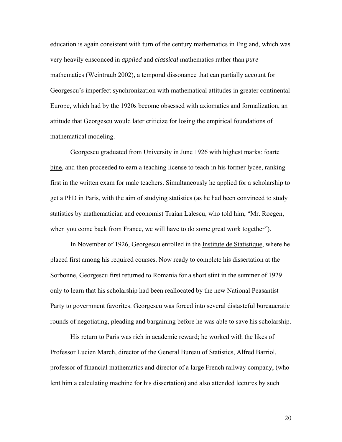education is again consistent with turn of the century mathematics in England, which was very heavily ensconced in *applied* and *classical* mathematics rather than *pure* mathematics (Weintraub 2002), a temporal dissonance that can partially account for Georgescu's imperfect synchronization with mathematical attitudes in greater continental Europe, which had by the 1920s become obsessed with axiomatics and formalization, an attitude that Georgescu would later criticize for losing the empirical foundations of mathematical modeling.

 Georgescu graduated from University in June 1926 with highest marks: foarte bine, and then proceeded to earn a teaching license to teach in his former lycée, ranking first in the written exam for male teachers. Simultaneously he applied for a scholarship to get a PhD in Paris, with the aim of studying statistics (as he had been convinced to study statistics by mathematician and economist Traian Lalescu, who told him, "Mr. Roegen, when you come back from France, we will have to do some great work together").

 In November of 1926, Georgescu enrolled in the Institute de Statistique, where he placed first among his required courses. Now ready to complete his dissertation at the Sorbonne, Georgescu first returned to Romania for a short stint in the summer of 1929 only to learn that his scholarship had been reallocated by the new National Peasantist Party to government favorites. Georgescu was forced into several distasteful bureaucratic rounds of negotiating, pleading and bargaining before he was able to save his scholarship.

 His return to Paris was rich in academic reward; he worked with the likes of Professor Lucien March, director of the General Bureau of Statistics, Alfred Barriol, professor of financial mathematics and director of a large French railway company, (who lent him a calculating machine for his dissertation) and also attended lectures by such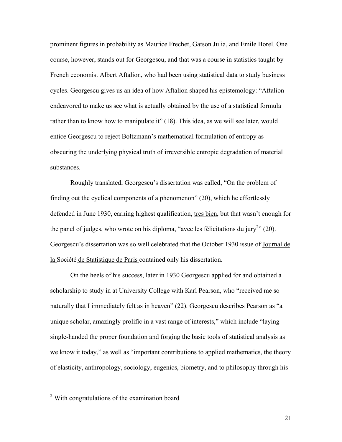prominent figures in probability as Maurice Frechet, Gatson Julia, and Emile Borel. One course, however, stands out for Georgescu, and that was a course in statistics taught by French economist Albert Aftalion, who had been using statistical data to study business cycles. Georgescu gives us an idea of how Aftalion shaped his epistemology: "Aftalion endeavored to make us see what is actually obtained by the use of a statistical formula rather than to know how to manipulate it" (18). This idea, as we will see later, would entice Georgescu to reject Boltzmann's mathematical formulation of entropy as obscuring the underlying physical truth of irreversible entropic degradation of material substances.

 Roughly translated, Georgescu's dissertation was called, "On the problem of finding out the cyclical components of a phenomenon" (20), which he effortlessly defended in June 1930, earning highest qualification, tres bien, but that wasn't enough for the panel of judges, who wrote on his diploma, "avec les félicitations du jury<sup>2</sup>" (20). Georgescu's dissertation was so well celebrated that the October 1930 issue of Journal de la Société de Statistique de Paris contained only his dissertation.

 On the heels of his success, later in 1930 Georgescu applied for and obtained a scholarship to study in at University College with Karl Pearson, who "received me so naturally that I immediately felt as in heaven" (22). Georgescu describes Pearson as "a unique scholar, amazingly prolific in a vast range of interests," which include "laying single-handed the proper foundation and forging the basic tools of statistical analysis as we know it today," as well as "important contributions to applied mathematics, the theory of elasticity, anthropology, sociology, eugenics, biometry, and to philosophy through his

 2 With congratulations of the examination board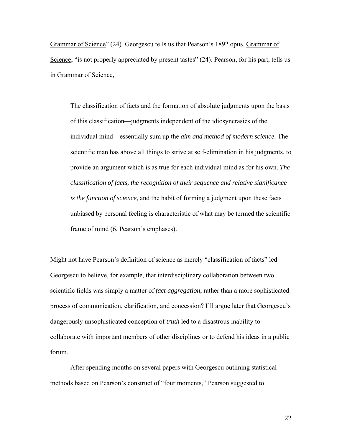Grammar of Science" (24). Georgescu tells us that Pearson's 1892 opus, Grammar of Science, "is not properly appreciated by present tastes" (24). Pearson, for his part, tells us in Grammar of Science,

The classification of facts and the formation of absolute judgments upon the basis of this classification—judgments independent of the idiosyncrasies of the individual mind—essentially sum up the *aim and method of modern science*. The scientific man has above all things to strive at self-elimination in his judgments, to provide an argument which is as true for each individual mind as for his own. *The classification of facts, the recognition of their sequence and relative significance is the function of science*, and the habit of forming a judgment upon these facts unbiased by personal feeling is characteristic of what may be termed the scientific frame of mind (6, Pearson's emphases).

Might not have Pearson's definition of science as merely "classification of facts" led Georgescu to believe, for example, that interdisciplinary collaboration between two scientific fields was simply a matter of *fact aggregation*, rather than a more sophisticated process of communication, clarification, and concession? I'll argue later that Georgescu's dangerously unsophisticated conception of *truth* led to a disastrous inability to collaborate with important members of other disciplines or to defend his ideas in a public forum.

 After spending months on several papers with Georgescu outlining statistical methods based on Pearson's construct of "four moments," Pearson suggested to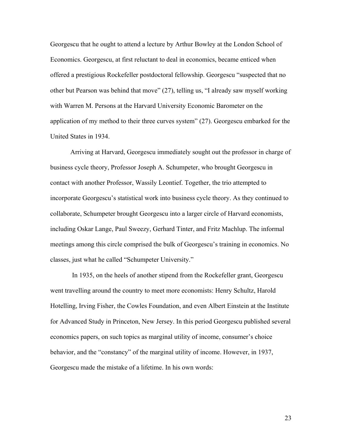Georgescu that he ought to attend a lecture by Arthur Bowley at the London School of Economics. Georgescu, at first reluctant to deal in economics, became enticed when offered a prestigious Rockefeller postdoctoral fellowship. Georgescu "suspected that no other but Pearson was behind that move" (27), telling us, "I already saw myself working with Warren M. Persons at the Harvard University Economic Barometer on the application of my method to their three curves system" (27). Georgescu embarked for the United States in 1934.

 Arriving at Harvard, Georgescu immediately sought out the professor in charge of business cycle theory, Professor Joseph A. Schumpeter, who brought Georgescu in contact with another Professor, Wassily Leontief. Together, the trio attempted to incorporate Georgescu's statistical work into business cycle theory. As they continued to collaborate, Schumpeter brought Georgescu into a larger circle of Harvard economists, including Oskar Lange, Paul Sweezy, Gerhard Tinter, and Fritz Machlup. The informal meetings among this circle comprised the bulk of Georgescu's training in economics. No classes, just what he called "Schumpeter University."

 In 1935, on the heels of another stipend from the Rockefeller grant, Georgescu went travelling around the country to meet more economists: Henry Schultz, Harold Hotelling, Irving Fisher, the Cowles Foundation, and even Albert Einstein at the Institute for Advanced Study in Princeton, New Jersey. In this period Georgescu published several economics papers, on such topics as marginal utility of income, consumer's choice behavior, and the "constancy" of the marginal utility of income. However, in 1937, Georgescu made the mistake of a lifetime. In his own words: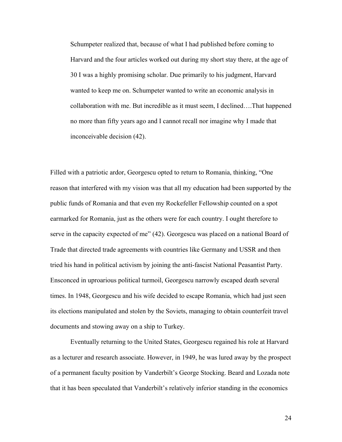Schumpeter realized that, because of what I had published before coming to Harvard and the four articles worked out during my short stay there, at the age of 30 I was a highly promising scholar. Due primarily to his judgment, Harvard wanted to keep me on. Schumpeter wanted to write an economic analysis in collaboration with me. But incredible as it must seem, I declined….That happened no more than fifty years ago and I cannot recall nor imagine why I made that inconceivable decision (42).

Filled with a patriotic ardor, Georgescu opted to return to Romania, thinking, "One reason that interfered with my vision was that all my education had been supported by the public funds of Romania and that even my Rockefeller Fellowship counted on a spot earmarked for Romania, just as the others were for each country. I ought therefore to serve in the capacity expected of me" (42). Georgescu was placed on a national Board of Trade that directed trade agreements with countries like Germany and USSR and then tried his hand in political activism by joining the anti-fascist National Peasantist Party. Ensconced in uproarious political turmoil, Georgescu narrowly escaped death several times. In 1948, Georgescu and his wife decided to escape Romania, which had just seen its elections manipulated and stolen by the Soviets, managing to obtain counterfeit travel documents and stowing away on a ship to Turkey.

 Eventually returning to the United States, Georgescu regained his role at Harvard as a lecturer and research associate. However, in 1949, he was lured away by the prospect of a permanent faculty position by Vanderbilt's George Stocking. Beard and Lozada note that it has been speculated that Vanderbilt's relatively inferior standing in the economics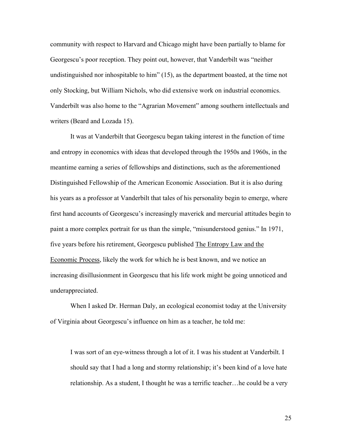community with respect to Harvard and Chicago might have been partially to blame for Georgescu's poor reception. They point out, however, that Vanderbilt was "neither undistinguished nor inhospitable to him" (15), as the department boasted, at the time not only Stocking, but William Nichols, who did extensive work on industrial economics. Vanderbilt was also home to the "Agrarian Movement" among southern intellectuals and writers (Beard and Lozada 15).

 It was at Vanderbilt that Georgescu began taking interest in the function of time and entropy in economics with ideas that developed through the 1950s and 1960s, in the meantime earning a series of fellowships and distinctions, such as the aforementioned Distinguished Fellowship of the American Economic Association. But it is also during his years as a professor at Vanderbilt that tales of his personality begin to emerge, where first hand accounts of Georgescu's increasingly maverick and mercurial attitudes begin to paint a more complex portrait for us than the simple, "misunderstood genius." In 1971, five years before his retirement, Georgescu published The Entropy Law and the Economic Process, likely the work for which he is best known, and we notice an increasing disillusionment in Georgescu that his life work might be going unnoticed and underappreciated.

 When I asked Dr. Herman Daly, an ecological economist today at the University of Virginia about Georgescu's influence on him as a teacher, he told me:

I was sort of an eye-witness through a lot of it. I was his student at Vanderbilt. I should say that I had a long and stormy relationship; it's been kind of a love hate relationship. As a student, I thought he was a terrific teacher…he could be a very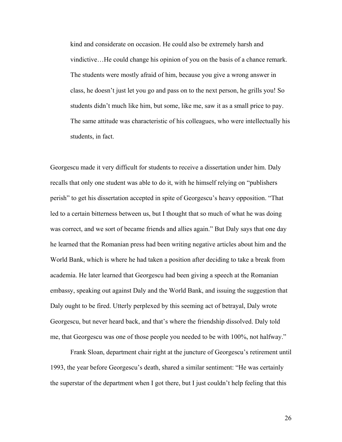kind and considerate on occasion. He could also be extremely harsh and vindictive…He could change his opinion of you on the basis of a chance remark. The students were mostly afraid of him, because you give a wrong answer in class, he doesn't just let you go and pass on to the next person, he grills you! So students didn't much like him, but some, like me, saw it as a small price to pay. The same attitude was characteristic of his colleagues, who were intellectually his students, in fact.

Georgescu made it very difficult for students to receive a dissertation under him. Daly recalls that only one student was able to do it, with he himself relying on "publishers perish" to get his dissertation accepted in spite of Georgescu's heavy opposition. "That led to a certain bitterness between us, but I thought that so much of what he was doing was correct, and we sort of became friends and allies again." But Daly says that one day he learned that the Romanian press had been writing negative articles about him and the World Bank, which is where he had taken a position after deciding to take a break from academia. He later learned that Georgescu had been giving a speech at the Romanian embassy, speaking out against Daly and the World Bank, and issuing the suggestion that Daly ought to be fired. Utterly perplexed by this seeming act of betrayal, Daly wrote Georgescu, but never heard back, and that's where the friendship dissolved. Daly told me, that Georgescu was one of those people you needed to be with 100%, not halfway."

Frank Sloan, department chair right at the juncture of Georgescu's retirement until 1993, the year before Georgescu's death, shared a similar sentiment: "He was certainly the superstar of the department when I got there, but I just couldn't help feeling that this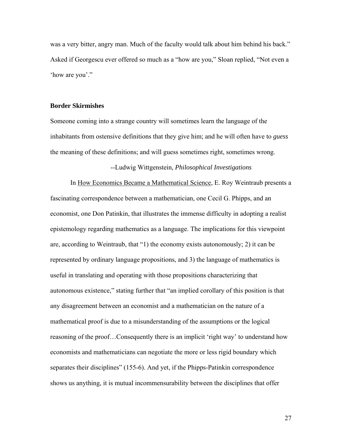was a very bitter, angry man. Much of the faculty would talk about him behind his back." Asked if Georgescu ever offered so much as a "how are you," Sloan replied, "Not even a 'how are you'."

#### **Border Skirmishes**

Someone coming into a strange country will sometimes learn the language of the inhabitants from ostensive definitions that they give him; and he will often have to *guess* the meaning of these definitions; and will guess sometimes right, sometimes wrong.

## --Ludwig Wittgenstein, *Philosophical Investigations*

 In How Economics Became a Mathematical Science, E. Roy Weintraub presents a fascinating correspondence between a mathematician, one Cecil G. Phipps, and an economist, one Don Patinkin, that illustrates the immense difficulty in adopting a realist epistemology regarding mathematics as a language. The implications for this viewpoint are, according to Weintraub, that "1) the economy exists autonomously; 2) it can be represented by ordinary language propositions, and 3) the language of mathematics is useful in translating and operating with those propositions characterizing that autonomous existence," stating further that "an implied corollary of this position is that any disagreement between an economist and a mathematician on the nature of a mathematical proof is due to a misunderstanding of the assumptions or the logical reasoning of the proof…Consequently there is an implicit 'right way' to understand how economists and mathematicians can negotiate the more or less rigid boundary which separates their disciplines" (155-6). And yet, if the Phipps-Patinkin correspondence shows us anything, it is mutual incommensurability between the disciplines that offer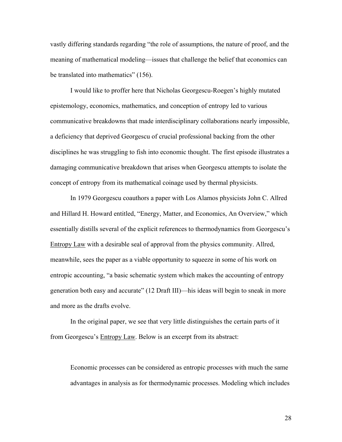vastly differing standards regarding "the role of assumptions, the nature of proof, and the meaning of mathematical modeling—issues that challenge the belief that economics can be translated into mathematics" (156).

 I would like to proffer here that Nicholas Georgescu-Roegen's highly mutated epistemology, economics, mathematics, and conception of entropy led to various communicative breakdowns that made interdisciplinary collaborations nearly impossible, a deficiency that deprived Georgescu of crucial professional backing from the other disciplines he was struggling to fish into economic thought. The first episode illustrates a damaging communicative breakdown that arises when Georgescu attempts to isolate the concept of entropy from its mathematical coinage used by thermal physicists.

 In 1979 Georgescu coauthors a paper with Los Alamos physicists John C. Allred and Hillard H. Howard entitled, "Energy, Matter, and Economics, An Overview," which essentially distills several of the explicit references to thermodynamics from Georgescu's Entropy Law with a desirable seal of approval from the physics community. Allred, meanwhile, sees the paper as a viable opportunity to squeeze in some of his work on entropic accounting, "a basic schematic system which makes the accounting of entropy generation both easy and accurate" (12 Draft III)—his ideas will begin to sneak in more and more as the drafts evolve.

In the original paper, we see that very little distinguishes the certain parts of it from Georgescu's Entropy Law. Below is an excerpt from its abstract:

Economic processes can be considered as entropic processes with much the same advantages in analysis as for thermodynamic processes. Modeling which includes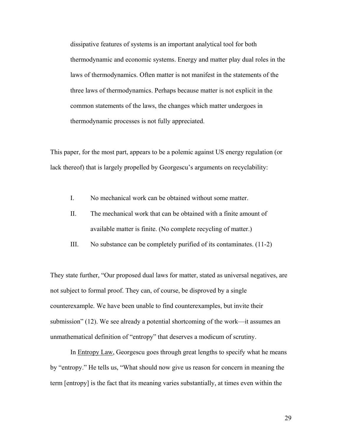dissipative features of systems is an important analytical tool for both thermodynamic and economic systems. Energy and matter play dual roles in the laws of thermodynamics. Often matter is not manifest in the statements of the three laws of thermodynamics. Perhaps because matter is not explicit in the common statements of the laws, the changes which matter undergoes in thermodynamic processes is not fully appreciated.

This paper, for the most part, appears to be a polemic against US energy regulation (or lack thereof) that is largely propelled by Georgescu's arguments on recyclability:

- I. No mechanical work can be obtained without some matter.
- II. The mechanical work that can be obtained with a finite amount of available matter is finite. (No complete recycling of matter.)
- III. No substance can be completely purified of its contaminates. (11-2)

They state further, "Our proposed dual laws for matter, stated as universal negatives, are not subject to formal proof. They can, of course, be disproved by a single counterexample. We have been unable to find counterexamples, but invite their submission" (12). We see already a potential shortcoming of the work—it assumes an unmathematical definition of "entropy" that deserves a modicum of scrutiny.

 In Entropy Law, Georgescu goes through great lengths to specify what he means by "entropy." He tells us, "What should now give us reason for concern in meaning the term [entropy] is the fact that its meaning varies substantially, at times even within the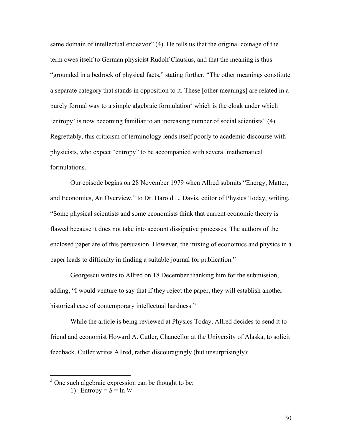same domain of intellectual endeavor" (4). He tells us that the original coinage of the term owes itself to German physicist Rudolf Clausius, and that the meaning is thus "grounded in a bedrock of physical facts," stating further, "The other meanings constitute a separate category that stands in opposition to it. These [other meanings] are related in a purely formal way to a simple algebraic formulation<sup>3</sup> which is the cloak under which 'entropy' is now becoming familiar to an increasing number of social scientists" (4). Regrettably, this criticism of terminology lends itself poorly to academic discourse with physicists, who expect "entropy" to be accompanied with several mathematical formulations.

Our episode begins on 28 November 1979 when Allred submits "Energy, Matter, and Economics, An Overview," to Dr. Harold L. Davis, editor of Physics Today, writing, "Some physical scientists and some economists think that current economic theory is flawed because it does not take into account dissipative processes. The authors of the enclosed paper are of this persuasion. However, the mixing of economics and physics in a paper leads to difficulty in finding a suitable journal for publication."

 Georgescu writes to Allred on 18 December thanking him for the submission, adding, "I would venture to say that if they reject the paper, they will establish another historical case of contemporary intellectual hardness."

 While the article is being reviewed at Physics Today, Allred decides to send it to friend and economist Howard A. Cutler, Chancellor at the University of Alaska, to solicit feedback. Cutler writes Allred, rather discouragingly (but unsurprisingly):

<sup>&</sup>lt;sup>3</sup> One such algebraic expression can be thought to be:

<sup>1)</sup> Entropy =  $S = \ln W$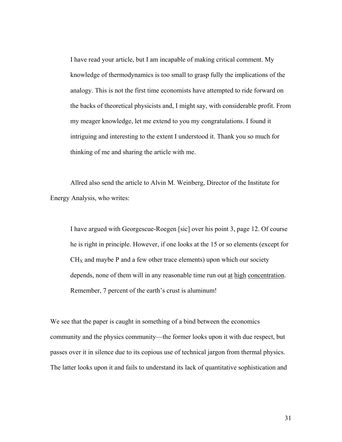I have read your article, but I am incapable of making critical comment. My knowledge of thermodynamics is too small to grasp fully the implications of the analogy. This is not the first time economists have attempted to ride forward on the backs of theoretical physicists and, I might say, with considerable profit. From my meager knowledge, let me extend to you my congratulations. I found it intriguing and interesting to the extent I understood it. Thank you so much for thinking of me and sharing the article with me.

 Allred also send the article to Alvin M. Weinberg, Director of the Institute for Energy Analysis, who writes:

I have argued with Georgescue-Roegen [sic] over his point 3, page 12. Of course he is right in principle. However, if one looks at the 15 or so elements (except for  $CH<sub>X</sub>$  and maybe P and a few other trace elements) upon which our society depends, none of them will in any reasonable time run out at high concentration. Remember, 7 percent of the earth's crust is aluminum!

We see that the paper is caught in something of a bind between the economics community and the physics community—the former looks upon it with due respect, but passes over it in silence due to its copious use of technical jargon from thermal physics. The latter looks upon it and fails to understand its lack of quantitative sophistication and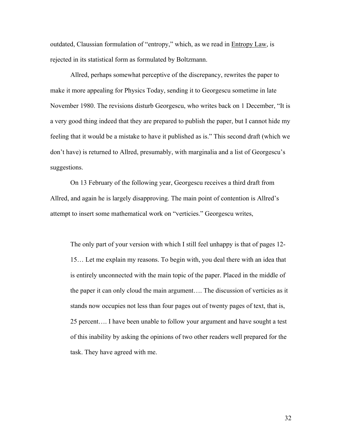outdated, Claussian formulation of "entropy," which, as we read in Entropy Law, is rejected in its statistical form as formulated by Boltzmann.

 Allred, perhaps somewhat perceptive of the discrepancy, rewrites the paper to make it more appealing for Physics Today, sending it to Georgescu sometime in late November 1980. The revisions disturb Georgescu, who writes back on 1 December, "It is a very good thing indeed that they are prepared to publish the paper, but I cannot hide my feeling that it would be a mistake to have it published as is." This second draft (which we don't have) is returned to Allred, presumably, with marginalia and a list of Georgescu's suggestions.

 On 13 February of the following year, Georgescu receives a third draft from Allred, and again he is largely disapproving. The main point of contention is Allred's attempt to insert some mathematical work on "verticies." Georgescu writes,

The only part of your version with which I still feel unhappy is that of pages 12- 15… Let me explain my reasons. To begin with, you deal there with an idea that is entirely unconnected with the main topic of the paper. Placed in the middle of the paper it can only cloud the main argument…. The discussion of verticies as it stands now occupies not less than four pages out of twenty pages of text, that is, 25 percent…. I have been unable to follow your argument and have sought a test of this inability by asking the opinions of two other readers well prepared for the task. They have agreed with me.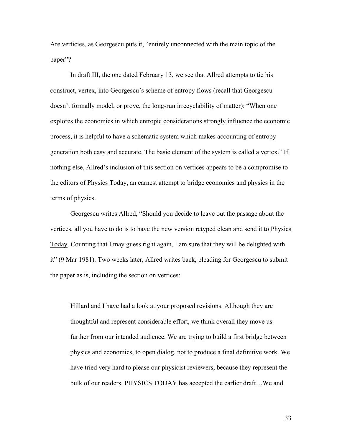Are verticies, as Georgescu puts it, "entirely unconnected with the main topic of the paper"?

In draft III, the one dated February 13, we see that Allred attempts to tie his construct, vertex, into Georgescu's scheme of entropy flows (recall that Georgescu doesn't formally model, or prove, the long-run irrecyclability of matter): "When one explores the economics in which entropic considerations strongly influence the economic process, it is helpful to have a schematic system which makes accounting of entropy generation both easy and accurate. The basic element of the system is called a vertex." If nothing else, Allred's inclusion of this section on vertices appears to be a compromise to the editors of Physics Today, an earnest attempt to bridge economics and physics in the terms of physics.

Georgescu writes Allred, "Should you decide to leave out the passage about the vertices, all you have to do is to have the new version retyped clean and send it to Physics Today. Counting that I may guess right again, I am sure that they will be delighted with it" (9 Mar 1981). Two weeks later, Allred writes back, pleading for Georgescu to submit the paper as is, including the section on vertices:

Hillard and I have had a look at your proposed revisions. Although they are thoughtful and represent considerable effort, we think overall they move us further from our intended audience. We are trying to build a first bridge between physics and economics, to open dialog, not to produce a final definitive work. We have tried very hard to please our physicist reviewers, because they represent the bulk of our readers. PHYSICS TODAY has accepted the earlier draft…We and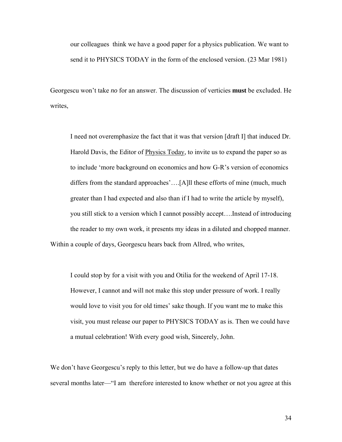our colleagues think we have a good paper for a physics publication. We want to send it to PHYSICS TODAY in the form of the enclosed version. (23 Mar 1981)

Georgescu won't take *no* for an answer. The discussion of verticies **must** be excluded. He writes,

I need not overemphasize the fact that it was that version [draft I] that induced Dr. Harold Davis, the Editor of Physics Today, to invite us to expand the paper so as to include 'more background on economics and how G-R's version of economics differs from the standard approaches'….[A]ll these efforts of mine (much, much greater than I had expected and also than if I had to write the article by myself), you still stick to a version which I cannot possibly accept….Instead of introducing the reader to my own work, it presents my ideas in a diluted and chopped manner. Within a couple of days, Georgescu hears back from Allred, who writes,

I could stop by for a visit with you and Otilia for the weekend of April 17-18. However, I cannot and will not make this stop under pressure of work. I really would love to visit you for old times' sake though. If you want me to make this visit, you must release our paper to PHYSICS TODAY as is. Then we could have a mutual celebration! With every good wish, Sincerely, John.

We don't have Georgescu's reply to this letter, but we do have a follow-up that dates several months later—"I am therefore interested to know whether or not you agree at this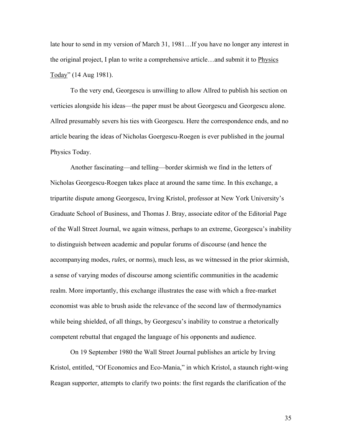late hour to send in my version of March 31, 1981…If you have no longer any interest in the original project, I plan to write a comprehensive article…and submit it to Physics Today" (14 Aug 1981).

 To the very end, Georgescu is unwilling to allow Allred to publish his section on verticies alongside his ideas—the paper must be about Georgescu and Georgescu alone. Allred presumably severs his ties with Georgescu. Here the correspondence ends, and no article bearing the ideas of Nicholas Goergescu-Roegen is ever published in the journal Physics Today.

Another fascinating—and telling—border skirmish we find in the letters of Nicholas Georgescu-Roegen takes place at around the same time. In this exchange, a tripartite dispute among Georgescu, Irving Kristol, professor at New York University's Graduate School of Business, and Thomas J. Bray, associate editor of the Editorial Page of the Wall Street Journal, we again witness, perhaps to an extreme, Georgescu's inability to distinguish between academic and popular forums of discourse (and hence the accompanying modes, *rules*, or norms), much less, as we witnessed in the prior skirmish, a sense of varying modes of discourse among scientific communities in the academic realm. More importantly, this exchange illustrates the ease with which a free-market economist was able to brush aside the relevance of the second law of thermodynamics while being shielded, of all things, by Georgescu's inability to construe a rhetorically competent rebuttal that engaged the language of his opponents and audience.

 On 19 September 1980 the Wall Street Journal publishes an article by Irving Kristol, entitled, "Of Economics and Eco-Mania," in which Kristol, a staunch right-wing Reagan supporter, attempts to clarify two points: the first regards the clarification of the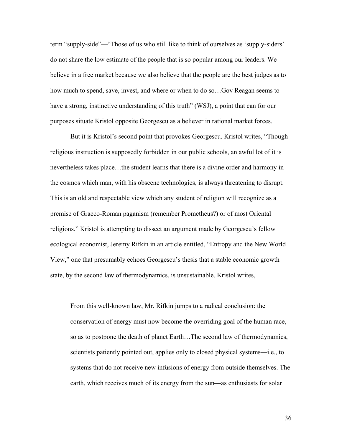term "supply-side"—"Those of us who still like to think of ourselves as 'supply-siders' do not share the low estimate of the people that is so popular among our leaders. We believe in a free market because we also believe that the people are the best judges as to how much to spend, save, invest, and where or when to do so…Gov Reagan seems to have a strong, instinctive understanding of this truth" (WSJ), a point that can for our purposes situate Kristol opposite Georgescu as a believer in rational market forces.

 But it is Kristol's second point that provokes Georgescu. Kristol writes, "Though religious instruction is supposedly forbidden in our public schools, an awful lot of it is nevertheless takes place…the student learns that there is a divine order and harmony in the cosmos which man, with his obscene technologies, is always threatening to disrupt. This is an old and respectable view which any student of religion will recognize as a premise of Graeco-Roman paganism (remember Prometheus?) or of most Oriental religions." Kristol is attempting to dissect an argument made by Georgescu's fellow ecological economist, Jeremy Rifkin in an article entitled, "Entropy and the New World View," one that presumably echoes Georgescu's thesis that a stable economic growth state, by the second law of thermodynamics, is unsustainable. Kristol writes,

From this well-known law, Mr. Rifkin jumps to a radical conclusion: the conservation of energy must now become the overriding goal of the human race, so as to postpone the death of planet Earth…The second law of thermodynamics, scientists patiently pointed out, applies only to closed physical systems—i.e., to systems that do not receive new infusions of energy from outside themselves. The earth, which receives much of its energy from the sun—as enthusiasts for solar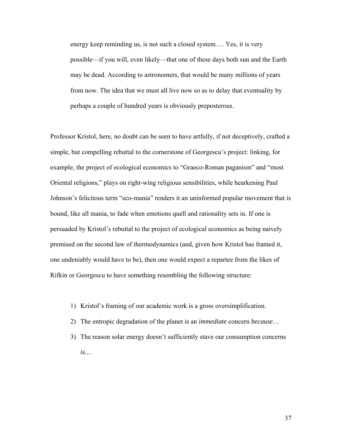energy keep reminding us, is not such a closed system…. Yes, it is very possible—if you will, even likely—that one of these days both sun and the Earth may be dead. According to astronomers, that would be many millions of years from now. The idea that we must all live now so as to delay that eventuality by perhaps a couple of hundred years is obviously preposterous.

Professor Kristol, here, no doubt can be seen to have artfully, if not deceptively, crafted a simple, but compelling rebuttal to the cornerstone of Georgescu's project: linking, for example, the project of ecological economics to "Graeco-Roman paganism" and "most Oriental religions," plays on right-wing religious sensibilities, while hearkening Paul Johnson's felicitous term "eco-mania" renders it an uninformed popular movement that is bound, like all mania, to fade when emotions quell and rationality sets in. If one is persuaded by Kristol's rebuttal to the project of ecological economics as being naively premised on the second law of thermodynamics (and, given how Kristol has framed it, one undeniably would have to be), then one would expect a repartee from the likes of Rifkin or Georgescu to have something resembling the following structure:

- 1) Kristol's framing of our academic work is a gross oversimplification.
- 2) The entropic degradation of the planet is an *immediate* concern *because*…
- 3) The reason solar energy doesn't sufficiently stave our consumption concerns *is…*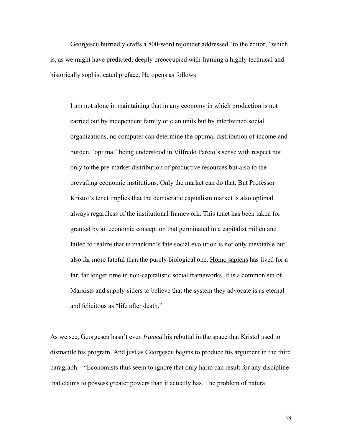Georgescu hurriedly crafts a 800-word rejoinder addressed "to the editor," which is, as we might have predicted, deeply preoccupied with framing a highly technical and historically sophisticated preface. He opens as follows:

I am not alone in maintaining that in any economy in which production is not carried out by independent family or clan units but by intertwined social organizations, no computer can determine the optimal distribution of income and burden, 'optimal' being understood in Vilfredo Pareto's sense with respect not only to the pre-market distribution of productive resources but also to the prevailing economic institutions. Only the market can do that. But Professor Kristol's tenet implies that the democratic capitalism market is also optimal always regardless of the institutional framework. This tenet has been taken for granted by an economic conception that germinated in a capitalist milieu and failed to realize that in mankind's fate social evolution is not only inevitable but also far more fateful than the purely biological one. Homo sapiens has lived for a far, far longer time in non-capitalistic social frameworks. It is a common sin of Marxists and supply-siders to believe that the system they advocate is as eternal and felicitous as "life after death."

As we see, Georgescu hasn't even *framed* his rebuttal in the space that Kristol used to dismantle his program. And just as Georgescu begins to produce his argument in the third paragraph—"Economists thus seem to ignore that only harm can result for any discipline that claims to possess greater powers than it actually has. The problem of natural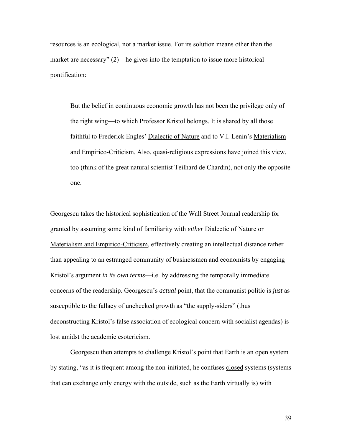resources is an ecological, not a market issue. For its solution means other than the market are necessary" (2)—he gives into the temptation to issue more historical pontification:

But the belief in continuous economic growth has not been the privilege only of the right wing—to which Professor Kristol belongs. It is shared by all those faithful to Frederick Engles' Dialectic of Nature and to V.I. Lenin's Materialism and Empirico-Criticism. Also, quasi-religious expressions have joined this view, too (think of the great natural scientist Teilhard de Chardin), not only the opposite one.

Georgescu takes the historical sophistication of the Wall Street Journal readership for granted by assuming some kind of familiarity with *either* Dialectic of Nature or Materialism and Empirico-Criticism, effectively creating an intellectual distance rather than appealing to an estranged community of businessmen and economists by engaging Kristol's argument *in its own terms*—i.e. by addressing the temporally immediate concerns of the readership. Georgescu's *actual* point, that the communist politic is *just* as susceptible to the fallacy of unchecked growth as "the supply-siders" (thus deconstructing Kristol's false association of ecological concern with socialist agendas) is lost amidst the academic esotericism.

Georgescu then attempts to challenge Kristol's point that Earth is an open system by stating, "as it is frequent among the non-initiated, he confuses closed systems (systems that can exchange only energy with the outside, such as the Earth virtually is) with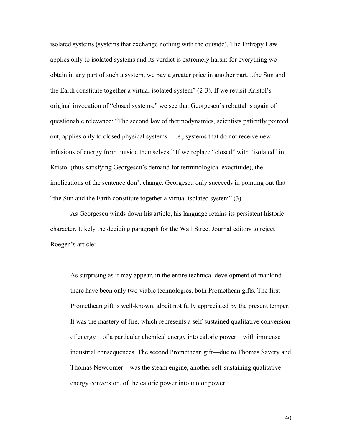isolated systems (systems that exchange nothing with the outside). The Entropy Law applies only to isolated systems and its verdict is extremely harsh: for everything we obtain in any part of such a system, we pay a greater price in another part…the Sun and the Earth constitute together a virtual isolated system" (2-3). If we revisit Kristol's original invocation of "closed systems," we see that Georgescu's rebuttal is again of questionable relevance: "The second law of thermodynamics, scientists patiently pointed out, applies only to closed physical systems—i.e., systems that do not receive new infusions of energy from outside themselves." If we replace "closed" with "isolated" in Kristol (thus satisfying Georgescu's demand for terminological exactitude), the implications of the sentence don't change. Georgescu only succeeds in pointing out that "the Sun and the Earth constitute together a virtual isolated system" (3).

As Georgescu winds down his article, his language retains its persistent historic character. Likely the deciding paragraph for the Wall Street Journal editors to reject Roegen's article:

As surprising as it may appear, in the entire technical development of mankind there have been only two viable technologies, both Promethean gifts. The first Promethean gift is well-known, albeit not fully appreciated by the present temper. It was the mastery of fire, which represents a self-sustained qualitative conversion of energy—of a particular chemical energy into caloric power—with immense industrial consequences. The second Promethean gift—due to Thomas Savery and Thomas Newcomer—was the steam engine, another self-sustaining qualitative energy conversion, of the caloric power into motor power.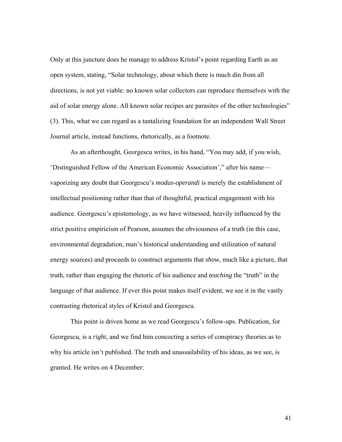Only at this juncture does he manage to address Kristol's point regarding Earth as an open system, stating, "Solar technology, about which there is much din from all directions, is not yet viable: no known solar collectors can reproduce themselves with the aid of solar energy alone. All known solar recipes are parasites of the other technologies" (3). This, what we can regard as a tantalizing foundation for an independent Wall Street Journal article, instead functions, rhetorically, as a footnote.

 As an afterthought, Georgescu writes, in his hand, "You may add, if you wish, 'Distinguished Fellow of the American Economic Association'," after his name vaporizing any doubt that Georgescu's *modus-operandi* is merely the establishment of intellectual positioning rather than that of thoughtful, practical engagement with his audience. Georgescu's epistemology, as we have witnessed, heavily influenced by the strict positive empiricism of Pearson, assumes the obviousness of a truth (in this case, environmental degradation, man's historical understanding and utilization of natural energy sources) and proceeds to construct arguments that *show*, much like a picture, that truth, rather than engaging the rhetoric of his audience and *teaching* the "truth" in the language of that audience. If ever this point makes itself evident, we see it in the vastly contrasting rhetorical styles of Kristol and Georgescu.

 This point is driven home as we read Georgescu's follow-ups. Publication, for Georgescu, is a *right*, and we find him concocting a series of conspiracy theories as to why his article isn't published. The truth and unassailability of his ideas, as we see, is granted. He writes on 4 December: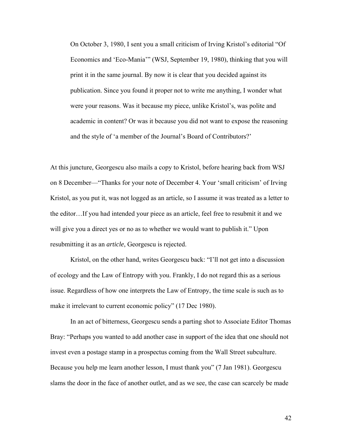On October 3, 1980, I sent you a small criticism of Irving Kristol's editorial "Of Economics and 'Eco-Mania'" (WSJ, September 19, 1980), thinking that you will print it in the same journal. By now it is clear that you decided against its publication. Since you found it proper not to write me anything, I wonder what were your reasons. Was it because my piece, unlike Kristol's, was polite and academic in content? Or was it because you did not want to expose the reasoning and the style of 'a member of the Journal's Board of Contributors?'

At this juncture, Georgescu also mails a copy to Kristol, before hearing back from WSJ on 8 December—"Thanks for your note of December 4. Your 'small criticism' of Irving Kristol, as you put it, was not logged as an article, so I assume it was treated as a letter to the editor…If you had intended your piece as an article, feel free to resubmit it and we will give you a direct yes or no as to whether we would want to publish it." Upon resubmitting it as an *article*, Georgescu is rejected.

Kristol, on the other hand, writes Georgescu back: "I'll not get into a discussion of ecology and the Law of Entropy with you. Frankly, I do not regard this as a serious issue. Regardless of how one interprets the Law of Entropy, the time scale is such as to make it irrelevant to current economic policy" (17 Dec 1980).

In an act of bitterness, Georgescu sends a parting shot to Associate Editor Thomas Bray: "Perhaps you wanted to add another case in support of the idea that one should not invest even a postage stamp in a prospectus coming from the Wall Street subculture. Because you help me learn another lesson, I must thank you" (7 Jan 1981). Georgescu slams the door in the face of another outlet, and as we see, the case can scarcely be made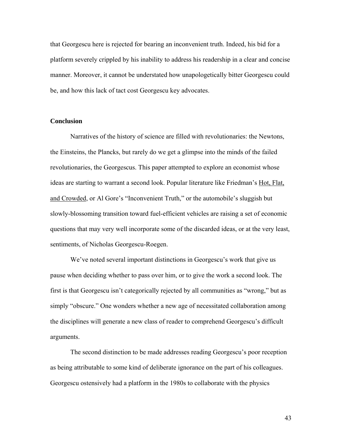that Georgescu here is rejected for bearing an inconvenient truth. Indeed, his bid for a platform severely crippled by his inability to address his readership in a clear and concise manner. Moreover, it cannot be understated how unapologetically bitter Georgescu could be, and how this lack of tact cost Georgescu key advocates.

## **Conclusion**

 Narratives of the history of science are filled with revolutionaries: the Newtons, the Einsteins, the Plancks, but rarely do we get a glimpse into the minds of the failed revolutionaries, the Georgescus. This paper attempted to explore an economist whose ideas are starting to warrant a second look. Popular literature like Friedman's Hot, Flat, and Crowded, or Al Gore's "Inconvenient Truth," or the automobile's sluggish but slowly-blossoming transition toward fuel-efficient vehicles are raising a set of economic questions that may very well incorporate some of the discarded ideas, or at the very least, sentiments, of Nicholas Georgescu-Roegen.

 We've noted several important distinctions in Georgescu's work that give us pause when deciding whether to pass over him, or to give the work a second look. The first is that Georgescu isn't categorically rejected by all communities as "wrong," but as simply "obscure." One wonders whether a new age of necessitated collaboration among the disciplines will generate a new class of reader to comprehend Georgescu's difficult arguments.

The second distinction to be made addresses reading Georgescu's poor reception as being attributable to some kind of deliberate ignorance on the part of his colleagues. Georgescu ostensively had a platform in the 1980s to collaborate with the physics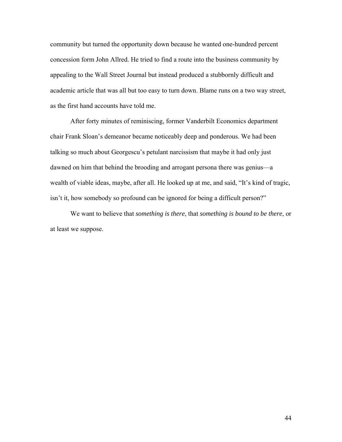community but turned the opportunity down because he wanted one-hundred percent concession form John Allred. He tried to find a route into the business community by appealing to the Wall Street Journal but instead produced a stubbornly difficult and academic article that was all but too easy to turn down. Blame runs on a two way street, as the first hand accounts have told me.

After forty minutes of reminiscing, former Vanderbilt Economics department chair Frank Sloan's demeanor became noticeably deep and ponderous. We had been talking so much about Georgescu's petulant narcissism that maybe it had only just dawned on him that behind the brooding and arrogant persona there was genius—a wealth of viable ideas, maybe, after all. He looked up at me, and said, "It's kind of tragic, isn't it, how somebody so profound can be ignored for being a difficult person?"

We want to believe that *something is there*, that *something is bound to be there*, or at least we suppose.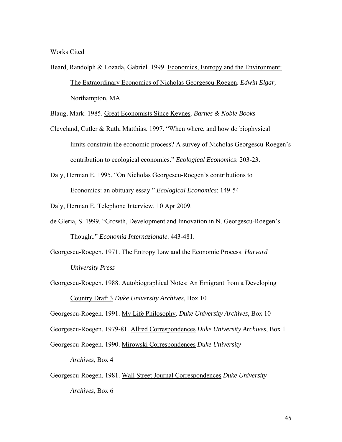Works Cited

Beard, Randolph & Lozada, Gabriel. 1999. Economics, Entropy and the Environment: The Extraordinary Economics of Nicholas Georgescu-Roegen. *Edwin Elgar,*  Northampton, MA

Blaug, Mark. 1985. Great Economists Since Keynes. *Barnes & Noble Books* 

Cleveland, Cutler & Ruth, Matthias. 1997. "When where, and how do biophysical limits constrain the economic process? A survey of Nicholas Georgescu-Roegen's contribution to ecological economics." *Ecological Economics*: 203-23.

Daly, Herman E. 1995. "On Nicholas Georgescu-Roegen's contributions to Economics: an obituary essay." *Ecological Economics*: 149-54

Daly, Herman E. Telephone Interview. 10 Apr 2009.

- de Gleria, S. 1999. "Growth, Development and Innovation in N. Georgescu-Roegen's Thought." *Economia Internazionale*. 443-481.
- Georgescu-Roegen. 1971. The Entropy Law and the Economic Process. *Harvard University Press*
- Georgescu-Roegen. 1988. Autobiographical Notes: An Emigrant from a Developing Country Draft 3 *Duke University Archives*, Box 10

Georgescu-Roegen. 1991. My Life Philosophy. *Duke University Archives*, Box 10

Georgescu-Roegen. 1979-81. Allred Correspondences *Duke University Archives*, Box 1

Georgescu-Roegen. 1990. Mirowski Correspondences *Duke University* 

*Archives*, Box 4

Georgescu-Roegen. 1981. Wall Street Journal Correspondences *Duke University Archives*, Box 6